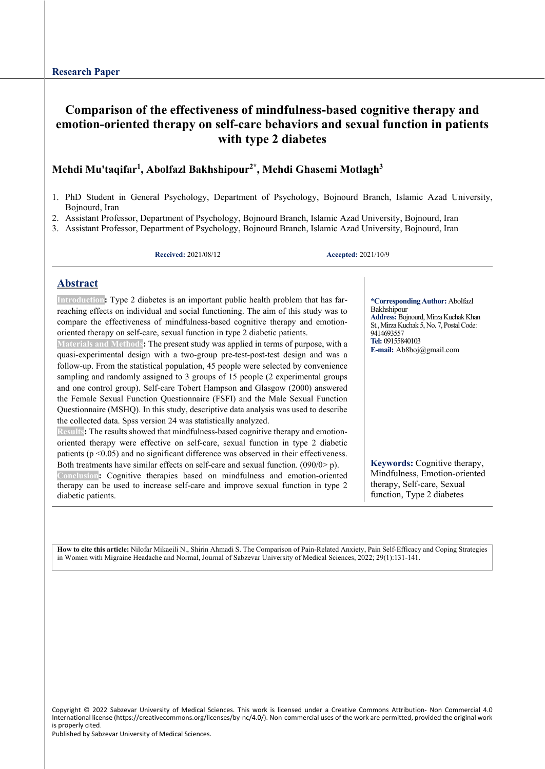# **Comparison of the effectiveness of mindfulness-based cognitive therapy and emotion-oriented therapy on self-care behaviors and sexual function in patients with type 2 diabetes**

## **Mehdi Mu'taqifar1 , Abolfazl Bakhshipour2\*, Mehdi Ghasemi Motlagh3**

- 1. PhD Student in General Psychology, Department of Psychology, Bojnourd Branch, Islamic Azad University, Bojnourd, Iran
- 2. Assistant Professor, Department of Psychology, Bojnourd Branch, Islamic Azad University, Bojnourd, Iran
- 3. Assistant Professor, Department of Psychology, Bojnourd Branch, Islamic Azad University, Bojnourd, Iran

**Received:** 2021/08/12 **Accepted:** 2021/10/9

## **Abstract**

**Introduction:** Type 2 diabetes is an important public health problem that has farreaching effects on individual and social functioning. The aim of this study was to compare the effectiveness of mindfulness-based cognitive therapy and emotionoriented therapy on self-care, sexual function in type 2 diabetic patients.

**Materials and Methods:** The present study was applied in terms of purpose, with a quasi-experimental design with a two-group pre-test-post-test design and was a follow-up. From the statistical population, 45 people were selected by convenience sampling and randomly assigned to 3 groups of 15 people (2 experimental groups and one control group). Self-care Tobert Hampson and Glasgow (2000) answered the Female Sexual Function Questionnaire (FSFI) and the Male Sexual Function Questionnaire (MSHQ). In this study, descriptive data analysis was used to describe the collected data. Spss version 24 was statistically analyzed.

**Results:** The results showed that mindfulness-based cognitive therapy and emotionoriented therapy were effective on self-care, sexual function in type 2 diabetic patients ( $p \le 0.05$ ) and no significant difference was observed in their effectiveness. Both treatments have similar effects on self-care and sexual function. (090/0> p).

**Conclusion:** Cognitive therapies based on mindfulness and emotion-oriented therapy can be used to increase self-care and improve sexual function in type 2 diabetic patients.

**\*CorrespondingAuthor:** Abolfazl Bakhshipour **Address:** Bojnourd, Mirza Kuchak Khan St., Mirza Kuchak 5, No. 7, Postal Code: 9414693557 **Tel:** 09155840103 **E-mail:** Ab8boj@gmail.com

**Keywords:** Cognitive therapy, Mindfulness, Emotion-oriented therapy, Self-care, Sexual function, Type 2 diabetes

**How to cite this article:** Nilofar Mikaeili N., Shirin Ahmadi S. The Comparison of Pain-Related Anxiety, Pain Self-Efficacy and Coping Strategies in Women with Migraine Headache and Normal, Journal of Sabzevar University of Medical Sciences, 2022; 29(1):131-141.

Copyright © 2022 Sabzevar University of Medical Sciences. This work is licensed under a Creative Commons Attribution- Non Commercial 4.0 International license (https://creativecommons.org/licenses/by-nc/4.0/). Non-commercial uses of the work are permitted, provided the original work is properly cited.

Published by Sabzevar University of Medical Sciences.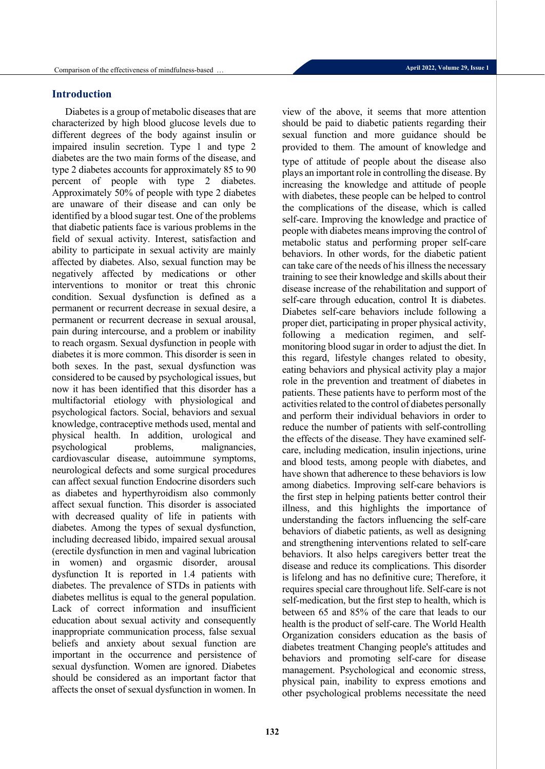Diabetes is a group of metabolic diseases that are characterized by high blood glucose levels due to different degrees of the body against insulin or impaired insulin secretion. Type 1 and type 2 diabetes are the two main forms of the disease, and type 2 diabetes accounts for approximately 85 to 90 percent of people with type 2 diabetes. Approximately 50% of people with type 2 diabetes are unaware of their disease and can only be identified by a blood sugar test. One of the problems that diabetic patients face is various problems in the field of sexual activity. Interest, satisfaction and ability to participate in sexual activity are mainly affected by diabetes. Also, sexual function may be negatively affected by medications or other interventions to monitor or treat this chronic condition. Sexual dysfunction is defined as a permanent or recurrent decrease in sexual desire, a permanent or recurrent decrease in sexual arousal, pain during intercourse, and a problem or inability to reach orgasm. Sexual dysfunction in people with diabetes it is more common. This disorder is seen in both sexes. In the past, sexual dysfunction was considered to be caused by psychological issues, but now it has been identified that this disorder has a multifactorial etiology with physiological and psychological factors. Social, behaviors and sexual knowledge, contraceptive methods used, mental and physical health. In addition, urological and<br>psychological problems, malignancies, psychological problems, malignancies, cardiovascular disease, autoimmune symptoms, neurological defects and some surgical procedures can affect sexual function Endocrine disorders such as diabetes and hyperthyroidism also commonly affect sexual function. This disorder is associated with decreased quality of life in patients with diabetes. Among the types of sexual dysfunction, including decreased libido, impaired sexual arousal (erectile dysfunction in men and vaginal lubrication in women) and orgasmic disorder, arousal dysfunction It is reported in 1.4 patients with diabetes. The prevalence of STDs in patients with diabetes mellitus is equal to the general population. Lack of correct information and insufficient education about sexual activity and consequently inappropriate communication process, false sexual beliefs and anxiety about sexual function are important in the occurrence and persistence of sexual dysfunction. Women are ignored. Diabetes should be considered as an important factor that affects the onset of sexual dysfunction in women. In

view of the above, it seems that more attention should be paid to diabetic patients regarding their sexual function and more guidance should be provided to them. The amount of knowledge and type of attitude of people about the disease also plays an important role in controlling the disease. By increasing the knowledge and attitude of people with diabetes, these people can be helped to control the complications of the disease, which is called self-care. Improving the knowledge and practice of people with diabetes means improving the control of metabolic status and performing proper self-care behaviors. In other words, for the diabetic patient can take care of the needs of his illness the necessary training to see their knowledge and skills about their disease increase of the rehabilitation and support of self-care through education, control It is diabetes. Diabetes self-care behaviors include following a proper diet, participating in proper physical activity, following a medication regimen, and selfmonitoring blood sugar in order to adjust the diet. In this regard, lifestyle changes related to obesity, eating behaviors and physical activity play a major role in the prevention and treatment of diabetes in patients. These patients have to perform most of the activities related to the control of diabetes personally and perform their individual behaviors in order to reduce the number of patients with self-controlling the effects of the disease. They have examined selfcare, including medication, insulin injections, urine and blood tests, among people with diabetes, and have shown that adherence to these behaviors is low among diabetics. Improving self-care behaviors is the first step in helping patients better control their illness, and this highlights the importance of understanding the factors influencing the self-care behaviors of diabetic patients, as well as designing and strengthening interventions related to self-care behaviors. It also helps caregivers better treat the disease and reduce its complications. This disorder is lifelong and has no definitive cure; Therefore, it requires special care throughout life. Self-care is not self-medication, but the first step to health, which is between 65 and 85% of the care that leads to our health is the product of self-care. The World Health Organization considers education as the basis of diabetes treatment Changing people's attitudes and behaviors and promoting self-care for disease management. Psychological and economic stress, physical pain, inability to express emotions and other psychological problems necessitate the need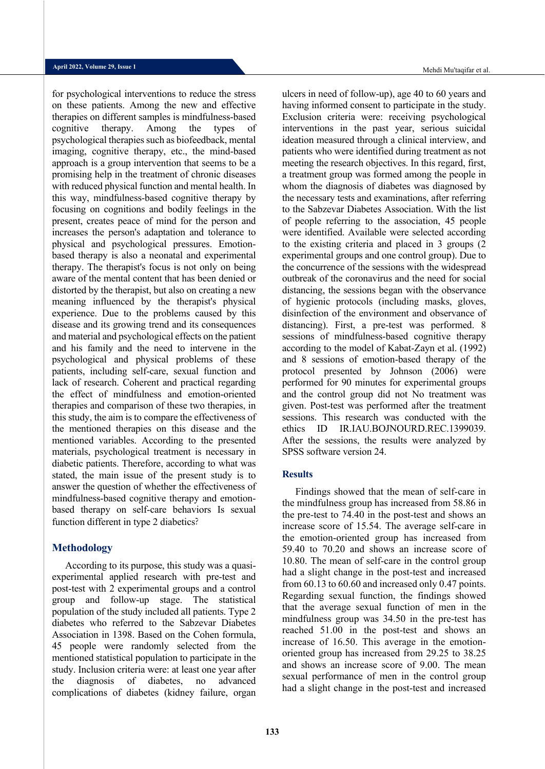for psychological interventions to reduce the stress on these patients. Among the new and effective therapies on different samples is mindfulness-based cognitive therapy. Among the types of psychological therapies such as biofeedback, mental imaging, cognitive therapy, etc., the mind-based approach is a group intervention that seems to be a promising help in the treatment of chronic diseases with reduced physical function and mental health. In this way, mindfulness-based cognitive therapy by focusing on cognitions and bodily feelings in the present, creates peace of mind for the person and increases the person's adaptation and tolerance to physical and psychological pressures. Emotionbased therapy is also a neonatal and experimental therapy. The therapist's focus is not only on being aware of the mental content that has been denied or distorted by the therapist, but also on creating a new meaning influenced by the therapist's physical experience. Due to the problems caused by this disease and its growing trend and its consequences and material and psychological effects on the patient and his family and the need to intervene in the psychological and physical problems of these patients, including self-care, sexual function and lack of research. Coherent and practical regarding the effect of mindfulness and emotion-oriented therapies and comparison of these two therapies, in this study, the aim is to compare the effectiveness of the mentioned therapies on this disease and the mentioned variables. According to the presented materials, psychological treatment is necessary in diabetic patients. Therefore, according to what was stated, the main issue of the present study is to answer the question of whether the effectiveness of mindfulness-based cognitive therapy and emotionbased therapy on self-care behaviors Is sexual function different in type 2 diabetics?

### **Methodology**

According to its purpose, this study was a quasiexperimental applied research with pre-test and post-test with 2 experimental groups and a control group and follow-up stage. The statistical population of the study included all patients. Type 2 diabetes who referred to the Sabzevar Diabetes Association in 1398. Based on the Cohen formula, 45 people were randomly selected from the mentioned statistical population to participate in the study. Inclusion criteria were: at least one year after the diagnosis of diabetes, no advanced complications of diabetes (kidney failure, organ

Mehdi Mu'taqifar et al.

ulcers in need of follow-up), age 40 to 60 years and having informed consent to participate in the study. Exclusion criteria were: receiving psychological interventions in the past year, serious suicidal ideation measured through a clinical interview, and patients who were identified during treatment as not meeting the research objectives. In this regard, first, a treatment group was formed among the people in whom the diagnosis of diabetes was diagnosed by the necessary tests and examinations, after referring to the Sabzevar Diabetes Association. With the list of people referring to the association, 45 people were identified. Available were selected according to the existing criteria and placed in 3 groups (2 experimental groups and one control group). Due to the concurrence of the sessions with the widespread outbreak of the coronavirus and the need for social distancing, the sessions began with the observance of hygienic protocols (including masks, gloves, disinfection of the environment and observance of distancing). First, a pre-test was performed. 8 sessions of mindfulness-based cognitive therapy according to the model of Kabat-Zayn et al. (1992) and 8 sessions of emotion-based therapy of the protocol presented by Johnson (2006) were performed for 90 minutes for experimental groups and the control group did not No treatment was given. Post-test was performed after the treatment sessions. This research was conducted with the ethics ID IR.IAU.BOJNOURD.REC.1399039. After the sessions, the results were analyzed by SPSS software version 24.

#### **Results**

Findings showed that the mean of self-care in the mindfulness group has increased from 58.86 in the pre-test to 74.40 in the post-test and shows an increase score of 15.54. The average self-care in the emotion-oriented group has increased from 59.40 to 70.20 and shows an increase score of 10.80. The mean of self-care in the control group had a slight change in the post-test and increased from 60.13 to 60.60 and increased only 0.47 points. Regarding sexual function, the findings showed that the average sexual function of men in the mindfulness group was 34.50 in the pre-test has reached 51.00 in the post-test and shows an increase of 16.50. This average in the emotionoriented group has increased from 29.25 to 38.25 and shows an increase score of 9.00. The mean sexual performance of men in the control group had a slight change in the post-test and increased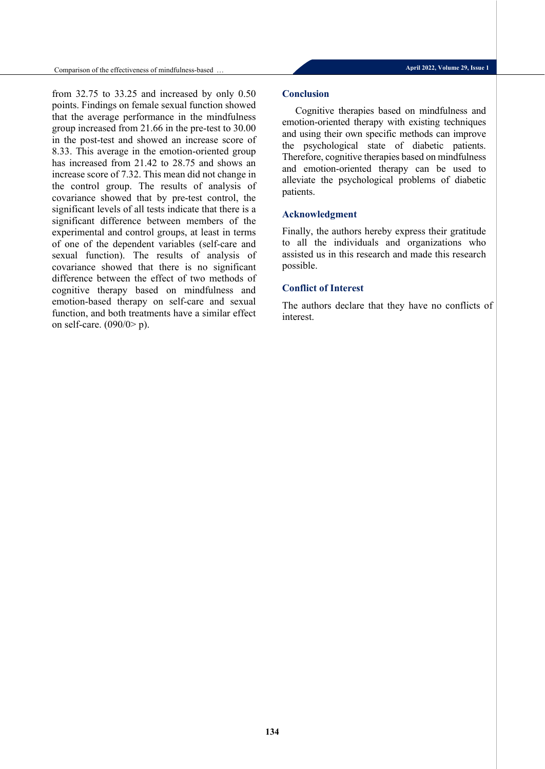from 32.75 to 33.25 and increased by only 0.50 points. Findings on female sexual function showed that the average performance in the mindfulness group increased from 21.66 in the pre-test to 30.00 in the post-test and showed an increase score of 8.33. This average in the emotion-oriented group has increased from 21.42 to 28.75 and shows an increase score of 7.32. This mean did not change in the control group. The results of analysis of covariance showed that by pre-test control, the significant levels of all tests indicate that there is a significant difference between members of the experimental and control groups, at least in terms of one of the dependent variables (self-care and sexual function). The results of analysis of covariance showed that there is no significant difference between the effect of two methods of cognitive therapy based on mindfulness and emotion-based therapy on self-care and sexual function, and both treatments have a similar effect on self-care. (090/0> p).

#### **Conclusion**

Cognitive therapies based on mindfulness and emotion-oriented therapy with existing techniques and using their own specific methods can improve the psychological state of diabetic patients. Therefore, cognitive therapies based on mindfulness and emotion-oriented therapy can be used to alleviate the psychological problems of diabetic patients.

#### **Acknowledgment**

Finally, the authors hereby express their gratitude to all the individuals and organizations who assisted us in this research and made this research possible.

### **Conflict of Interest**

The authors declare that they have no conflicts of interest.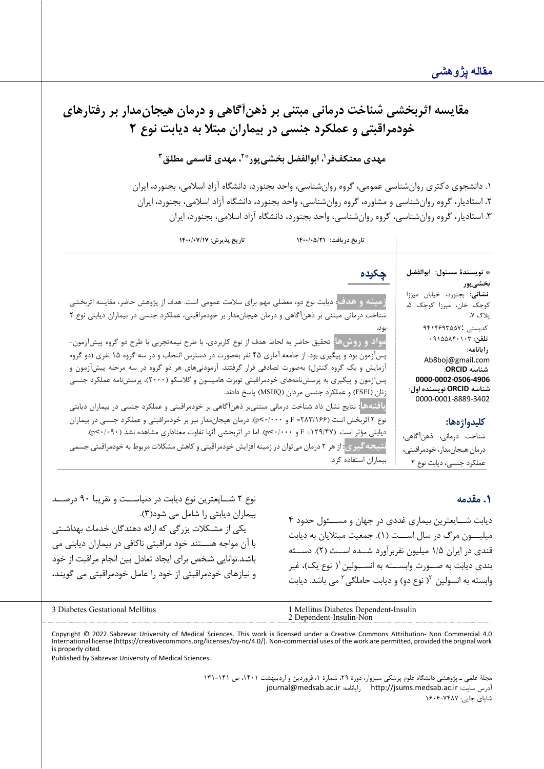**مقایسه اثربخشی شناخت درمانی مبتنی بر ذهن آگاهی و درمان هیجان مدار بر رفتارهاي خودمراقبتی و عملکرد جنسی در بیماران مبتلا به دیابت نوع 2 \*،2 مهدي قاسمی مطلق3 ، ابوالفضل بخشیپور <sup>1</sup> مهدي معتکففر** .1 دانشجوي دکتري روانشناسی عمومی، گروه روانشناسی، واحد بجنورد، دانشگاه آزاد اسلامی، بجنورد، ایران **.**2 استادیار، گروه روانشناسی و مشاوره، گروه روانشناسی، واحد بجنورد، دانشگاه آزاد اسلامی، بجنورد، ایران .3 استادیار، گروه روانشناسی، گروه روانشناسی، واحد بجنورد، دانشگاه آزاد اسلامی، بجنورد، ایران **تاریخ دریافت: /21 1400/05 تاریخ پذیرش: 1400/07/17** \* **نویسندة مسئول: ابوالفضل بخشیپور نشانی:** بجنورد، خیابان میرزا کوچک خان، میرزا کوچک ،5 پلاك ،7 کدپستی 9414693557: **تلفن**: 09155840103 **رایانامه:** Ab8boj@gmail.com **شناسه ORCID: 0000-0002-0506-4906 شناسه ORCID نویسنده اول:** 0000-0001-8889-3402 **کلیدواژهها:** شناخت درمانی، ذهن آگاهی، درمان هیجان مدار، خودمراقبتی ، عملکرد جنسی، دیابت نوع 2 **چکیده زمینه و هدف**: دیابت نوع دو، معضل ی مهم براي سلامت عمومی است. هدف از پژوهش حاضر، مقایسه اثربخشی شناخت درمانی مبتنی بر ذهن آگاهی و درمان هیجان مدار بر خودمراقبتی، عملکرد جنسی در بیماران دیابتی نوع ۲ بود. **مواد و روشها**: تحقیق حاضر به لحاظ هدف از نوع کاربردي، با طرح نیمه تجربی با طرح دو گروه پیش آزمون- پسآزمون بود و پیگیري بود. از جامعه آماري 45 نفر به صورت در دسترس انتخاب و در سه گروه 15 نفري (دو گروه آزمایش و یک گروه کنترل) به صورت تصادفی قرار گرفتند. آزمودنی هاي هر دو گروه در سه مرحله پیشآزمون و پسآزمون و پیگیري به پرسشنامههاي خودمراقبتی توبرت هامپسون و گلاسکو (2000)، پرسش نامه عملکرد جنسی زنان (FSFI (و عملکرد جنسی مردان ( MSHQ (پاسخ دادند. **یافتهها:** نتایج نشان داد شناخت درمانی مبتنیبر ذهن آگاهی بر خودمراقبتی و عملکرد جنسی در بیماران دیابتی نوع 2 اثربخش است (/166 283= F و /000 0>p(. درمان هیجانمدار نیز بر خودمراقبتی و عملکرد جنسی در بیماران دیابتی مؤثر است. (۱۲۹/۴۷= F و p<-/000). اما در اثربخشی آنها تفاوت معناداری مشاهده نشد (۰۹+/۰>p. نتیجه *گیر*ی<mark>:</mark> از هر ۲ درمان می توان در زمینه افزایش خودمراقبتی و کاهش مشکلات مربوط به خودمراقبتی جسمی بیماران استفاده کرد.

## **.1 مقدمه**

دیابت شــایعترین بیماري غددي در جهان و مســئول حدود 4 میلیـــون مرگ در سال اســـت ( 1). جمعیت مبتلایان به دیابت قندي در ایران ۱/۵ میلیون نفربرآورد شــده اســت (۲). دســته بندي دیابت به صــورت وابســته به انســولین ( نوع یک)، غیر وابسته به انسولین <sup>٦</sup>[\(](#page-4-1) نوع دو) و دیابت حاملگی <sup>٣</sup> می باشد. دیابت

<span id="page-4-1"></span><span id="page-4-0"></span>

| Gestational<br>Mellitus<br>Jiabetes | Mellitus<br>Diabetes Dependent-Insulin<br>Non<br>Denendent-Insulin |
|-------------------------------------|--------------------------------------------------------------------|
|                                     |                                                                    |

Copyright © 2022 Sabzevar University of Medical Sciences. This work is licensed under a Creative Commons Attribution- Non Commercial 4.0 International license (https://creativecommons.org/licenses/by-nc/4.0/). Non-commercial uses of the work are permitted, provided the original work is properly cited.

Published by Sabzevar University of Medical Sciences.

نوع 2 شــایعترین نوع دیابت در دنیاســت و تقریبا 90 درصــد

یکی از مشـکلات بزرگی که ارائه دهندگان خدمات بهداشـتی با آن مواجه هســتند خود مراقبتی ناکافی در بیماران دیابتی می باشـد. توانایی شـخص براي ایجاد تعادل بین انجام مراقبت از خود و نیـازهـاي خودمراقبتی از خود را عـامـل خودمراقبتی می گوینـد،

بیماران دیابتی را شامل می شود( 3).

مجلۀ علمی ـ پژوهشی دانشگاه علوم پزشکی سبزوار، دورة ،29 شمارة ،1 فروردین و اردیبهشت ،1401 ص 131-141 [journal@medsab.ac.ir](mailto:journal@medsab.ac.ir) :رایانامه [http://jsums.medsab.ac.ir](http://jsums.medsab.ac.ir/) :سایت آدرس شاپاي چاپی: 1606-7487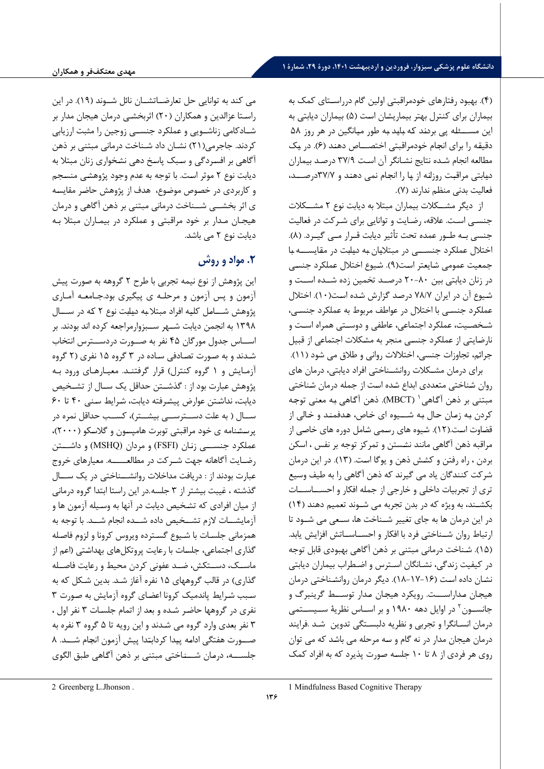( 4). بهبود رفتارهاي خودمراقبتی اولین گام درراسـتاي کمک به بیماران براي کنترل بهتر بیماریشـان اسـت ( 5) بیماران دیابتی به این مســـئلـه پی بردنـد کـه بـایـد بـه طور میـانگین در هر روز 58 دقیقـه را براي انجـام خودمراقبتی اختصـــاص دهنـد ( 6). در یـک مطالعه انجام شـده نتایج نشـانگر آن اسـت /9 37 درصـد بیماران دیـابتی مراقبـت روزانـه از پـا را انجـام نمی دهنـد و /7 37درصـــد، فعالیت بدنی منظم ندارند ( 7) .

از دیگر مشــکلات بیماران مبتلا به دیابت نوع 2 مشــکلات جنسـی اسـت. علاقه، رضـایت و توانایی برای شـرکت در فعالیت جنسی بـه طـور عمده تحت تأثیر دیابت قـرار مـی گیـرد. ( 8). اختلال عملکرد جنســـی در مبتلایان به دیلبت در مقایســـه با جمعیت عمومی شـایعتر است(۹). شـیوع اختلال عملکرد جنسـی در زنان دیابتی بین -80 20 درصــد تخمین زده شــده اســت و شيوع آن در ايران ٧٨/٧ درصد گزارش شده است(١٠). اختلال عملکرد جنسـی با اختلال در عواطف مربوط به عملکرد جنسـی، شـخصـیت، عملکرد اجتماعی، عاطفی و دوسـتی همراه اسـت و نارضایتی از عملکرد جنسی منجر به مشکلات اجتماعی از قبیل جرائم، تجاوزات جنسی، اختلالات روانی و طلاق می شود (١١).

براي درمان مشـکلات روانشـناختی افراد دیابتی ، درمان هاي روان شـناختی متعددي ابداع شـده اسـت از جمله درمان شـناختی مبتنی بر ذهن آگـاهی <sup>(</sup> (MBCT). ذهن آگـاهی بـه معنی توجـه کردن بـه زمـان حـال بـه شـــیوه اي خـاص، هـدفمنـد و خـالی از قضـاوت اسـت. ( 12). شـیوه هاي رسـمی شـامل دوره هاي خاصـی از مراقبه ذهن آگاهی مانند نشـستن و تمرکز توجه بر نفس ، اسکن بردن ، راه رفتن و کشـش ذهن و یوگا اسـت. ( 13). در این درمان شرکت کنندگان یاد می گیرند که ذهن آگاهی را به طیف وسیع تري از تجربیات داخلی و خارجی از جمله افکار و احســاســات بکشـند، به ویژه که در بدن تجربه می شـوند تعمیم دهند ( 14) در این درمان ها به جاي تغییر شــناخت ها، ســعی می شــود تا ارتباط روان شــناختی فرد با افکار و احســاســاتش افزایش یابد. ( 15). شـناخت درمانی مبتنی بر ذهن آگاهی بهبودي قابل توجه در کیفیت زندگی، نشـانگان اسـترس و اضـطراب بیماران دیابتی نشـان داده است (۱۶-۱۷-۱۸). دیگر درمان روانشـناختی درمان هیجـان مـداراســـت. رویکرد هیجـان مـدار توســـط گرینبرگ و جانســون<sup>۲</sup> در اوایل دهه ۱۹۸۰ و بر اســاس نظریۀ ســیســتمی درمان انسـانگرا و تجربی و نظریه دلبسـتگی تدوین شـد . فرایند درمان هیجان مدار در نه گام و سـه مرحله می باشـد که می توان روي هر فردي از 8 تا 10 جلسـه صـورت پذیرد که به افراد کمک

می کند به توانایی حل تعارضــاتشــان نائل شــوند ( 19). در این راسـتا عزالدین و همکاران ( 20) ا ثربخشـی درمان ه ی جان مدار بر شــادکامی زناشــویی و عملکرد جنســی زوجین را مثبت ارزیابی کردند. جاجرمی(۲۱) نشـان داد شـناخت درمانی مبتنی بر ذهن آگاهي بر افسردگي و سبک پاسخ دهي نشخواري زنان مبتلا به دیابت نوع ۲ موثر است. با توجه به عدم وجود پژوهشی منسجم و کاربردی در خصوص موضوع، هدف از پژوهش حاضر مقایسه ي اثر بخشــی شــناخت درمانی مبتنی بر ذهن آگاهی و درمان هیجـان مـدار بر خود مراقبتی و عملکرد در بیمـاران مبتلا بـه دیابت نوع 2 می باشد.

# **.2 مواد و روش**

این پژوهش از نوع نیمه تجربی با طرح 2 گروهه به صـورت پیش آزمون و پس آزمون و مرحلـه ي پیگیري بود.جـامعـه آمـاري پژوهش شـــامـل کلیـه افراد مبتلا بـه دیـابـت نوع 2 کـه در ســـال 1398 به انجمن دیابت شــهر ســب زوارمراجعه کرده اند بودند. بر اســاس جدول مورگان 45 نفر به صــورت دردســترس انتخاب شـدند و به صـورت تصـادفی سـاده در 3 گروه 15 نفري ( 2 گروه آزمـایش و 1 گروه کنترل) قرار گرفتنـد. معیـارهـاي ورود بـه پژوهش عبارت بود از : گذشــتن حداقل یک ســال از تشــخیص دیابت، نداشـتن عوارض پیشرفته دیابت، شرایط سنی ۴۰ تا ۶۰ ســال ( به علت دســترســی بیشــتر)، کســب حداقل نمره در پرسـشـنامه ي خود مراقبتی توبرت هامپسـون و گلاسـکو ( 2000)، عملکرد جنســـی زنـان (FSFI (و مردان (MSHQ (و داشـــتن رضـایت آگاهانه جهت شــرکت در مطالعـــــه . معیارهاي خروج عبارت بودند از : دریافت مداخلات روانشـــناختی در یک ســـال گذشته ، غیبت بیشتر از ۳ جلسه .در این راستا ابتدا گروه درمانی از میان افرادي که تشـخیص دیابت در آنها به وسـیله آزمون ها و آزمایشــات لازم تشــخیص داده شــده انجام شــد . با توجه به همزمانی جلسـات با شـیوع گسـترده ویروس کرونا و لزوم فاصـله گذاري اجتماعی، جلسـات با رعایت پروتکل هاي بهد اشـتی (اعم از ماســک، دســتکش، ضــد عفونی کردن محیط و رعایت فاصــله گذاري) در قالب گروههاي ۱۵ نفره آغاز شـد. بدين شـکل که به سـبب شـرايط پاندميک کرونا اعضـاي گروه آزمايش به صـورت ٣ نفر ي در گروهها حاضـر شـده و بعد از اتمام جلسـات 3 نفر اول ، ۳ نفر بعدي وارد گروه مي شـدند و اين رويه تا ۵ گروه ۳ نفره به صـــورت هفتگی ادامه پیدا کردابتدا پیش آزمون انجام شـــد. ۸ جلســـه، درمـان شـــنـاختی مبتنی بر ذهن آگـاهی طبق الگوي

<span id="page-5-0"></span>[1](#page-5-0) Mindfulness Based Cognitive Therapy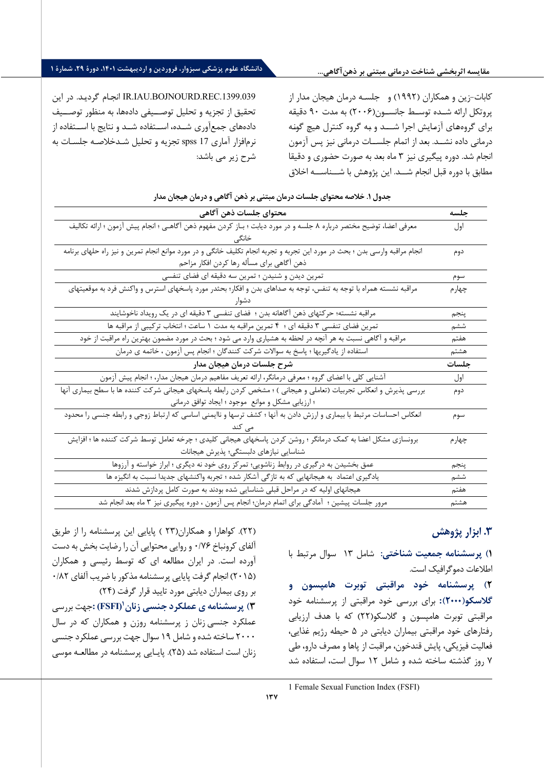**مقایسه اثربخشی شناخت درمانی مبتنی بر ذهنآگاهی...**

## **دانشگاه علوم پزشکی سبزوار، فروردین و اردیبهشت ،1401 دورة ،29 شمارة 1**

.1399.039REC.BOJNOURD.IAU.IR انجـام گرد یـد . در این تحقیق از تجزیه و تحلیل توصــیفی داده ها، به منظور توصــیف دادههاي جمع آوري شــده، اســتفاده شــد و نتايج با اســتفاده از نرم افزار آماري 17 spss تجزیه و تحلیل شـد خلاصـه جلسـات به شرح زیر می باشد :

کابات - زین و همکاران ( 1992) و جلسـه درمان هیجان مدار از پروتکل ارائه شــده توســط جانســون( 2006) به مدت 90 دقیقه براي گروه هـاي آزمـایش اجرا شـــد و بـه گروه کنترل هیچ گونـه درمانی داده نشــد. بعد از اتمام جلســات درمانی نیز پس آزمون انجام شد. دوره پیگیري نیز 3 ماه بعد به صورت حضوري و دقیقا مطابق با دوره قبل انجام شـــد. این پژوهش با شـــناســـه اخلاق

|  | جدول ۱. خلاصه محتوای جلسات درمان مبتنی بر ذهن آگاهی و درمان هیجان مدار |  |
|--|------------------------------------------------------------------------|--|
|--|------------------------------------------------------------------------|--|

| محتواي جلسات ذهن آگاهي                                                                                                      | حلسه   |
|-----------------------------------------------------------------------------------------------------------------------------|--------|
| معرفی اعضا، توضیح مختصر درباره ۸ جلسه و در مورد دیابت ؛ بـاز کردن مفهوم ذهن آگاهـی ؛ انجام پیش آزمون ؛ ارائه تكالیف         | اول    |
|                                                                                                                             |        |
| انجام مراقبه وارسی بدن ؛ بحث در مورد این تجربه و تجربه انجام تکلیف خانگی و در مورد موانع انجام تمرین و نیز راه حلهای برنامه | دوم    |
| ذهن آگاهي براي مسأله رها كردن افكار مزاحم                                                                                   |        |
| تمرین دیدن و شنیدن ؛ تمرین سه دقیقه ای فضای تنفسی                                                                           | سوم    |
| مراقبه نشسته همراه با توجه به تنفس، توجه به صداهای بدن و افکار؛ بحثدر مورد پاسخهای استرس و واکنش فرد به موقعيتهای           | چهار م |
|                                                                                                                             |        |
| مراقبه نشسته؛ حرکتهای ذهن آگاهانه بدن ؛ فضای تنفسی ۳ دقیقه ای در یک رویداد ناخوشایند                                        | پنجم   |
| تمرین فضای تنفسی ۳ دقیقه ای ؛ ۴ تمرین مراقبه به مدت ۱ ساعت ؛ انتخاب ترکیبی از مراقبه ها                                     | ششم    |
| مراقبه و آگاهی نسبت به هر آنچه در لحظه به هشیاری وارد می شود ؛ بحث در مورد مضمون بهترین راه مراقبت از خود                   | هفتم   |
| استفاده از یادگیریها ؛ پاسخ به سوالات شرکت کنندگان ؛ انجام پس آزمون ، خاتمه ی درمان                                         | هشتم   |
| شرح جلسات درمان هیجان مدار                                                                                                  | جلسات  |
|                                                                                                                             |        |
| آشنایی کلی با اعضای گروه ؛ معرفی درمانگر، ارائه تعریف مفاهیم درمان هیجان مدار، ؛ انجام پیش آزمون                            | اول    |
| بررسی پذیرش و انعکاس تجربیات (تعاملی و هیجانی ) ؛ مشخص کردن رابطه پاسخهای هیجانی شرکت کننده ها با سطح بیماری آنها           | دوم    |
| ؛ ارزیابی مشکل و موانع ً موجود ؛ ایجاد توافق درمانی                                                                         |        |
| انعکاس احساسات مرتبط با بیماری و ارزش دادن به آنها ؛ کشف ترسها و ناایمنی اساسی که ارتباط زوجی و رابطه جنسی را محدود         | سوم    |
|                                                                                                                             |        |
| برونسازی مشکل اعضا به کمک درمانگر ؛ روشن کردن پاسخهای هیجانی کلیدی ؛ چرخه تعامل توسط شرکت کننده ها ؛ افزایش                 | چهارم  |
| شناسایی نیازهای دلبستگی؛ پذیرش هیجانات                                                                                      |        |
| عمق بخشیدن به درگیری در روابط زناشویی؛ تمرکز روی خود نه دیگری ؛ ابراز خواسته و آرزوها                                       | ينجم   |
| یادگیری اعتماد به هیجانهایی که به تازگی آشکار شده ؛ تجربه واکنشهای جدیدا نسبت به انگیزه ها                                  | ششم    |
| هیجانهای اولیه که در مراحل قبلی شناسایی شده بودند به صورت کامل پردازش شدند                                                  | هفتم   |

# **.3 ابزار پژوهش**

**1) پرسشنامه جمعیت شناختی:** شامل 13 سوال مرتبط با اطلاعات دموگرافیک است.

**2) پرسشنامه خود مراقبتی توبرت هامپسون و گلاسکو( 2000) :** براي بررسی خود مراقبتی از پرسشنامه خود مراقبتی توبرت هامپسون و گلاسکو( 22) که با هدف ارزیابی رفتارهاي خود مراقبتی بیماران دیابتی در 5 حیطه رژیم غذایی، فعالیت فیزیکی، پایش قندخون، مراقبت از پاها و مصرف دارو، طی 7 روز گذشته ساخته شده و شامل 12 س وال است، استفاده شد

1 Female Sexual Function Index (FSFI)

( 22) . کواهارا و همکاران( 23 ) پایایی این پرسشنامه را از طریق آلفاي کرونباخ /76 0 و روایی محتوایی آن را رضایت بخش به دست آورده است . در ایران مطالعه اي که توسط رئیسی و همکاران ( 2015) انجام گرفت پایایی پرسشنامه مذکور با ضریب آلفاي /82 0 بر رو ي بیماران دیابتی مورد تایید قرار گرفت ( 24)

<span id="page-6-0"></span>**(FSFI (:**جهت بررسی **[1](#page-6-0) 3) پرسشنامه ي عملکرد جنسی زنان**  عملکرد جنسی زنان ز پرسشنامه روزن و همکاران که در سال 2000 ساخته شده و شامل 19 سوال جهت بررسی عملکرد جنسی زنان است استفاده شد ( 25) . پایـایی پرسشنامه در مطالعـه موسی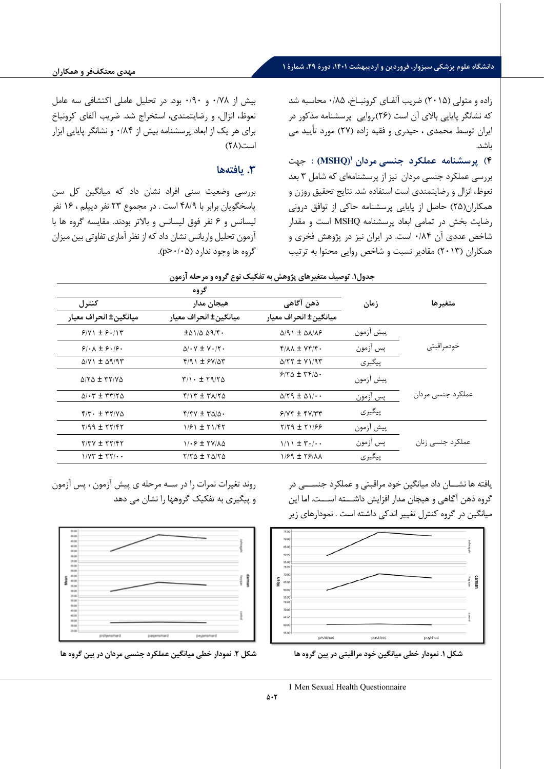زاده و متولی ( 2015) ضریب آلفـاي کرونبـاخ، /85 0 محاسبه شد که نشانگر پایایی بالاي آن است ( 26). روایی پرسشنامه مذکور در ایران توسط محمدي ، حیدري و فقیه زاده ( 27) مورد تأیید می باشد .

**(MSHQ (:** جهت **[1](#page-7-0) 4) پرسشنامه عملکرد جنسی مردان**  بررسی عملکرد جنسی مردان نیز از پرسشنامهای که شامل ۳ بعد نعوظ، انزال و رضایتمندي است استفاده شد . نتایج تحقیق روزن و همکاران( 25) حاصل از پایایی پرسشنامه حاکی از توافق درونی رضایت بخش در تمامی ابعاد پرسشنامه MSHQ است و مقدار شاخص عددي آن /84 0 است. در ایران نیز در پژوهش فخري و همکاران ( 2013) م قادیر نسبت و شاخص روایی محتوا به ترتیب

بیش از /78 0 و /90 0 بود. در تحلیل عاملی اکتشافی سه عامل نعوظ، انزال، و رضایتمندي، استخراج شد. ضریب آلفاي کرونباخ براي هر یک از ابعاد پرسشنامه بیش از /84 0 و نشانگر پایایی ابزار است (٢٨)

### **.3 یافتهها**

بررسی وضعیت سنی افراد نشان داد که میانگین کل سن پاسخگویان برابر با ۴۸/۹ است . در مجموع ۲۳ نفر دیپلم ، ۱۶ نفر لیسانس و ۶ نفر فوق لیسانس و بالاتر بودند. مقایسه گروه ها با آزمون تحلیل واریانس نشان داد که از نظر آماری تفاوتی بین میزان گروه ها وجود ندارد ( /05 0<p(.

|                                                                              | گروه                                                                       |                                                 |           |                   |
|------------------------------------------------------------------------------|----------------------------------------------------------------------------|-------------------------------------------------|-----------|-------------------|
| كنترل                                                                        | هيجان مدار                                                                 | ذهن آگاهی                                       | ز مان     | متغيرها           |
| ميانگين± انحراف معيار                                                        | ميانگين± انحراف معيار                                                      | میانگین± انحراف معیار                           |           |                   |
| $9/11 \pm 9.11$                                                              | $\pm$ $\Delta$ $\frac{1}{2}$ $\Delta$ $\Delta$ $\frac{1}{2}$ $\frac{1}{2}$ | $\Delta$ /91 ± $\Delta$ $\Lambda$ / $\Lambda$ ۶ | پيش آزمون |                   |
| $9! \cdot \Lambda \pm 9 \cdot 19 \cdot$                                      | $\Delta$ / $\cdot$ Y $\pm$ Y $\cdot$ / $\cdot$                             | $Y/\lambda\lambda \pm YY/\gamma$                | پس آزمون  | خودمراقبتى        |
| $\Delta$ /V) $\pm$ $\Delta$ 9/95                                             | $f(9) \pm f'(0)$                                                           | $\Delta$ /۲۲ ± $\gamma$ $\gamma$ /95            | پیگیری    |                   |
| $\Delta$ $\Upsilon$ $\Delta$ $\pm$ $\Upsilon$ $\Upsilon$ $\Upsilon$ $\Delta$ | $T/1.1$ $\pm 79/70$                                                        | $9/70 \pm 79/0$ .                               | پيش آزمون |                   |
| $\Delta/\cdot r \pm r r/r \Delta$                                            | $f/\gamma t \pm f\gamma/\gamma \Delta$                                     | $\Delta$ /۲۹ ± $\Delta$ ۱/ $\cdots$             | پس آزمون  | عملکرد جنسی مردان |
| $Y/Y$ + $\pm$ $YY/Y$ $\Delta$                                                | $f/fV \pm r\Delta/\Delta$ .                                                | $9/Yf \pm fY/T$                                 | پیگیری    |                   |
| $Y/99 \pm YY/9Y$                                                             | $1/F1 \pm 71/F7$                                                           | $Y/Y$ 9 ± $Y1/99$                               | پيش آزمون |                   |
| $Y/YY \pm YY/Y$                                                              | $1.5 + 1.7$                                                                | $1/11 \pm 7.1$                                  | پس آزمون  | عملکرد جنسی زنان  |
| $1/VT \pm 17/$                                                               | $Y/Y$ $\Delta$ $\pm$ $Y$ $\Delta/Y$ $\Delta$                               | $1/99 \pm 79/11$                                | پیگیری    |                   |

یافته ها نشـــان داد میانگین خود مراقبتی و عملکرد جنســـی در گروه ذهن آگاهی و هیجان مدار افزایش داشـــته اســـت. اما این میانگین در گروه کنترل تغییر اندکی داشته است . نمودارهای زیر



روند تغیرات نمرات را در سـه مرحله ي پیش آزمون ، پس آزمون و پیگیري به تفکیک گروهها را نشان می دهد



<span id="page-7-0"></span>**شکل .1 نمودار خطی میانگین خود مراقبتی در بین گروه ها شکل .2 نمودار خطی میانگین عملکرد جنسی مردان در بین گروه ها** 

1 Men Sexual Health Questionnaire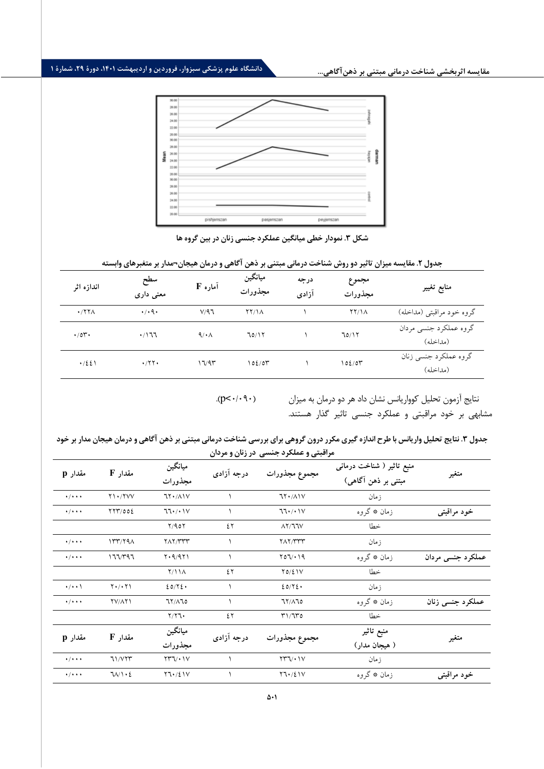## **دانشگاه علوم پزشکی سبزوار، فروردین و اردیبهشت ،1401 دورة ،29 شمارة 1**



**شکل .3 نمودار خطی میانگین عملکرد جنسی زنان در بین گروه ها** 

| اندازه اثر           | سطح<br>معنی داری            | آماره F | ميانگين<br>مجذورات | درجه<br>آزادى | مجموع<br>مجذورات | منابع تغيير                        |
|----------------------|-----------------------------|---------|--------------------|---------------|------------------|------------------------------------|
| $\cdot$ /۲۲ $\wedge$ | $\cdot$ / $\cdot$ 9 $\cdot$ | V/97    | YY/1A              |               | YY/1A            | گروه خود مراقبتی (مداخله)          |
| $\cdot$ /07.         | $\cdot$ /177                | 9/4     | 70/17              |               | 70/17            | گروه عملکرد جنسی مردان<br>(مداخله) |
| $\cdot$ /٤٤١         | $\cdot$ /۲۲ $\cdot$         | 17/97   | 102/07             |               | 102/07           | گروه عملکرد جنسی زنان<br>(مداخله)  |

## جدول ۲. مقایسه میزان تاثیر دو روش شناخت درمانی مبتنی بر ذهن آگاهی و درمان هیجان¬مدار بر متغبرهای وابسته

.( $p<\cdot/\cdot \mathcal{P}(\cdot)$ 

نتایج آزمون تحلیل کوواریانس نشان داد هر دو درمان به میزان مشابهی بر خود مراقبتی و عملکرد جنسی تاثیر گذار هستند.

جدول ۳. نتایج تحلیل واریانس با طرح اندازه گیری مکرر درون گروهی برای بررسی شناخت درمانی مبتنی بر ذهن آگاهی و درمان هیجان مدار بر خود **مراقبتی و عملکرد جنسی در زنان و مردان** 

| مقدار p                     | مقدار F             | ميانگين<br>مجذورات                               | درجه آزادی | مجموع مجذورات                       | منبع تاثیر ( شناخت درمانی<br>مبتنی بر ذہن آگاہی) | متغير             |
|-----------------------------|---------------------|--------------------------------------------------|------------|-------------------------------------|--------------------------------------------------|-------------------|
| $\cdot/\cdot\cdot\cdot$     | $Y \cup Y \vee Y$   | $7Y \cdot / \Lambda V$                           |            | 71.11V                              | زمان                                             |                   |
| $\cdot$ / $\cdot$ + $\cdot$ | YYY/00E             | 77.7.1V                                          |            | $77.$ / $\cdot$                     | زمان ٭ گروه                                      | خود مراقبتی       |
|                             |                     | Y/90Y                                            | ٤٢         | $\Lambda$ Y/JJV                     | خطا                                              |                   |
| $\cdot$ / $\cdot$ + $\cdot$ | 177/79 <sub>A</sub> | <b>TAT/TTT</b>                                   |            | <b>TAT/TTT</b>                      | زمان                                             |                   |
| $\cdot$ / $\cdot$ + $\cdot$ | 177/797             | $Y \cdot 9/971$                                  |            | Y07/19                              | زمان ٭ گروه                                      | عملکرد جنسی مردان |
|                             |                     | Y/11A                                            | ٤٢         | $Y0/\Sigma$                         | خطا                                              |                   |
| $\cdot/\cdot\cdot$          | $Y \cdot / \cdot Y$ | 20/72.                                           |            | 20/72.                              | زمان                                             |                   |
| $\star/\star\star\star$     | <b>YV/AYI</b>       | 71/170                                           | ١          | 71/170                              | زمان ٭ گروه                                      | عملکرد جنسی زنان  |
|                             |                     | $Y/Y$ ٦٠                                         | ٤٢         | T1/T0                               | خطا                                              |                   |
| مقدار p                     | مقدار F             | ميانگين                                          | درجه آزادی | مجموع مجذورات                       | منبع تاثير                                       |                   |
|                             |                     | مجذورات                                          |            |                                     | ( هیجان مدار)                                    | متغير             |
| $\cdot$ / $\cdot$ + $\cdot$ | 71/VTT              | $\Upsilon\Upsilon\Upsilon\cdots\Upsilon\Upsilon$ |            | $\Upsilon\Upsilon\Upsilon/\Upsilon$ | زمان                                             |                   |
| $\cdot$ / $\cdot$ $\cdot$   | 71/1.2              | Y7.721V                                          |            | Y7.721V                             | زمان ٭ گروه                                      | خود مراقبتی       |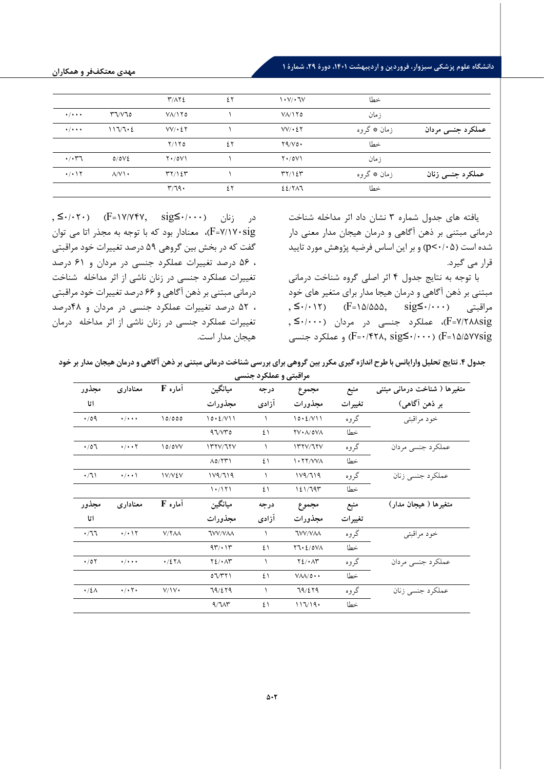## **دانشگاه علوم پزشکی سبزوار، فروردین و اردیبهشت ،1401 دورة ،29 شمارة 1**

|                                |                       | $\Upsilon/\Lambda\Upsilon$              | ٤٢ | $\mathcal{N} \cdot \mathcal{N} \cdot \mathcal{N}$ | خطا         |                   |
|--------------------------------|-----------------------|-----------------------------------------|----|---------------------------------------------------|-------------|-------------------|
| $\cdot$ / $\cdot$ + $\cdot$    | $r\tau/\nu\tau$       | $V/\sqrt{10}$                           |    | $V$ $\Lambda$ / $\Lambda$ ro                      | ز مان       |                   |
| $\cdot$ / $\cdot$ +            | 117/7.2               | $VV$ $\cdot$ $\zeta$ $\zeta$            |    | $VV$ $\cdot$ $\zeta$ $\zeta$                      | زمان ٭ گروه | عملکرد جنسی مردان |
|                                |                       | Y/Y                                     | ٤٢ | Y4/V0                                             | خطا         |                   |
| $\cdot$ / $\cdot$ ۳٦           | 0/0V                  | $Y \cdot / 0V$                          |    | $Y \cdot /0V$                                     | ز مان       |                   |
| $\cdot$ / $\cdot$ \ $\Upsilon$ | $\Lambda/V$ \ $\cdot$ | $\mathcal{H} \mathcal{H} / \mathcal{H}$ |    | $\mathcal{H} \mathcal{H} / \mathcal{H}$           | زمان ٭ گروه | عملکرد جنسی زنان  |
|                                |                       | r/79.                                   | ٤٢ | $22/7$ $\wedge$                                   | خطا         |                   |

یافته هاي جدول شماره 3 نشان داد اثر مداخله شناخت درمانی مبتنی بر ذهن آگاهی و درمان هیجان مدار معنی دار شده است (0/05>p (و بر این اساس فرضیه پژوهش مورد تایید قرار می گیرد.

با توجه به نتایج جدول 4 اثر اصلی گروه شناخت درمانی مبتنی بر ذهن آگاهی و درمان هیجا مدار براي متغیر هاي خود , ≤•/• (F=۱۵/۵۵۵, sig≤•/•••) مراقبتی  $\text{sig}$ ≤•/•••) sig7/288=F(، عملکرد جنسی در مردان (0/000≥ , و عملکرد جنسی F=۰/۴۲۸, sig $\leq$ ۰/۰۰۰) (F=۱۵/۵۷۷sig

د<sub>ر ز</sub>نان (−1×/0∀0×1+=F) (−17/7) (−17+/+≥), sig sig7/170=F(، معنادار بود که با توجه به مجذر اتا می توان گفت که در بخش بین گروهی 59 درصد تغییرات خود مراقبتی ، 56 درصد تغییرات عملکرد جنسی در مردان و 61 درصد تغییرات عملکرد جنسی در زنان ناشی از اثر مداخله شناخت درمانی مبتنی بر ذهن آگاهی و 66 درصد تغییرات خود مراقبتی ، 52 درصد تغییرات عملکرد جنسی در مردان و 48درصد تغییرات عملکرد جنسی در زنان ناشی از اثر مداخله درمان هیجان مدار است.

جدول ۴. نتایج تحلیل وارایانس با طرح اندازه گیری مکرر بین گروهی برای بررسی شناخت درمانی مبتنی بر ذهن آگاهی و درمان هیجان مدار بر خود

| مراقبتی و عملکرد جنسی |                             |                      |                           |           |                                      |         |                                          |
|-----------------------|-----------------------------|----------------------|---------------------------|-----------|--------------------------------------|---------|------------------------------------------|
| مجذور                 | معنادارى                    | آماره F              | ميانگين                   | درجه      | مجموع                                | منبع    | متغیرها ( شناخت درمان <sub>ی</sub> مبتنی |
| اتا                   |                             |                      | مجذورات                   | آزادى     | مجذورات                              | تغييرات | بر ذهن آگاهي)                            |
| $\cdot$ 109           | $\cdot$ / $\cdot$ + $\cdot$ | 10/000               | 10.2/V11                  | 1         | 10.2/V11                             | گروه    | خود مراقبتي                              |
|                       |                             |                      | 97/VT0                    | ٤١        | YV·A/0VA                             | خطا     |                                          |
| $\cdot$ /07           | $\cdot/\cdot\cdot\tau$      | 10/0VV               | 177V/T7V                  | ١         | 177V/T7V                             | گروه    | عملکرد جنسی مردان                        |
|                       |                             |                      | $\Lambda$ 0/٢٣١           | ٤١        | $\frac{1.77}{V}$                     | خطا     |                                          |
| $\cdot/7$             | $\cdot/\cdot\cdot$          | IV/VEV               | 119/719                   | $\lambda$ | 119/719                              | گروه    | عملكرد جنسي زنان                         |
|                       |                             |                      | 1.7171                    | ٤١        | 121/797                              | خطا     |                                          |
| مجذور                 | معنادارى                    | آماره F              | ميانگين                   | درجه      | مجموع                                | منبع    | متغیرها ( هیجان مدار)                    |
| اتا                   |                             |                      | مجذورات                   | آزادى     | مجذورات                              | تغييرات |                                          |
| .77                   | $\cdot/\cdot$ \ \           | V/YAA                | <b>TVV/VAA</b>            | $\lambda$ | <b>TVV/VAA</b>                       | گروه    | خود مراقبتي                              |
|                       |                             |                      | 97/17                     | ٤١        | Y7.2/0V                              | خطا     |                                          |
| $\cdot$ /07           | $\cdot$ / $\cdot$ + $\cdot$ | $\cdot$ /27 $\wedge$ | $Y\Sigma/\cdot \Lambda Y$ | 1         | $Y\S$ / $\cdot$ $\wedge$ r           | گروه    | عملکرد جنسی مردان                        |
|                       |                             |                      | 07/T1                     | ٤١        | $V\Lambda\Lambda/\mathfrak{0}\cdots$ | خطا     |                                          |
| $\cdot/2\Lambda$      | $\cdot/\cdot$ $\cdot$       | V/Y                  | 79/279                    | 1         | 79/279                               | گروه    | عملکرد جنسی زنان                         |
|                       |                             |                      | 9/7                       | ٤١        | 117/19.                              | خطا     |                                          |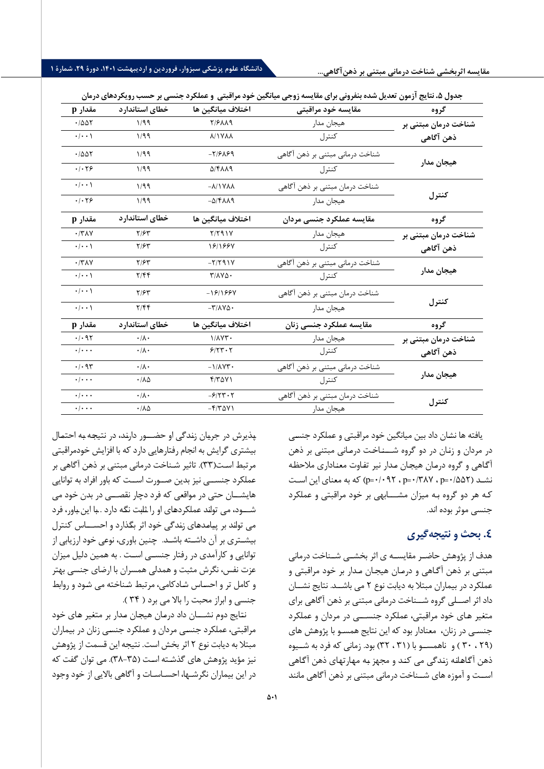| مقدار p                            | خطاي استاندارد               | اختلاف ميانگين ها                                            | مقايسه خود مراقبتى              | گروه                 |
|------------------------------------|------------------------------|--------------------------------------------------------------|---------------------------------|----------------------|
| $\cdot$ / $\Delta \Delta \Upsilon$ | 1/99                         | <b>7/۶۸۸9</b>                                                | هيجان مدار                      | شناخت درمان مبتنی بر |
| $\cdot$ / $\cdot$ \                | 1/99                         | <b>A/IVAA</b>                                                | كنترل                           | ذهن آگاهی            |
| .7007                              | 1/99                         | $-7/729$                                                     | شناخت درمانی مبتنی بر ذهن آگاهی |                      |
| .1.79                              | 1/99                         | <b>DIFAA9</b>                                                | كنترل                           | هيجان مدار           |
| $\cdot/\cdot\cdot$                 | 1/99                         | $-\lambda/\gamma\gamma\lambda\lambda$                        | شناخت درمان مبتني بر ذهن آگاهي  |                      |
| .1.79                              | 1/99                         | $-\Delta$ /۴۸۸۹                                              | هيجان مدار                      | كنترل                |
| مقدار p                            | خطاى استاندارد               | اختلاف ميانگين ها                                            | مقايسه عملكرد جنسى مردان        | گروه                 |
| $\cdot$ /٣٨٧                       | Y/FY                         | $Y/Y$ 91Y                                                    | هيجان مدار                      | شناخت درمان مبتنی بر |
| $\cdot/\cdot\cdot$                 | $Y/\mathcal{F}Y$             | 1811884                                                      | كنترل                           | ذهن آگاهی            |
| $\cdot$ /٣٨٧                       | $Y/\mathcal{F}^{\mathbf{w}}$ | $-Y/Y$ 91 $Y$                                                | شناخت درمانی مبتنی بر ذهن آگاهی |                      |
| $\cdot/\cdot\cdot$                 | Y/FF                         | $T/\lambda V \Delta$ .                                       | كنترل                           | هيجان مدار           |
| $\cdot/\cdot\cdot$                 | $Y/\mathcal{F}^{\mathbf{w}}$ | -181984                                                      | شناخت درمان مبتني بر ذهن آگاهي  |                      |
| $\cdot/\cdot\cdot$                 | Y/FF                         | $-\mathsf{r}/\mathsf{\Lambda}\mathsf{v}\mathsf{\Delta}\cdot$ | هيجان مدار                      | كنترل                |
| مقدار p                            | خطاى استاندارد               | اختلاف ميانگين ها                                            | مقايسه عملكرد جنسى زنان         | گروه                 |
| .1.95                              | $\cdot/\lambda$ .            | $1/\lambda \Upsilon \Upsilon$                                | هيجان مدار                      | شناخت درمان مبتنی بر |
| $\cdot$ / $\cdot$ $\cdot$          | $\cdot/\lambda$ .            | 9/5.5                                                        | كنترل                           | ذهن آگاهی            |
| $\cdot$ / $\cdot$ 95               | $\cdot/\lambda \cdot$        | $-1/\lambda YY$                                              | شناخت درمانی مبتنی بر ذهن آگاهی |                      |
| $\cdot$ / $\cdot$ $\cdot$          | $\cdot/\lambda\Delta$        | $f/T\Delta V$                                                | كنترل                           | هيجان مدار           |
| $\cdot$ / $\cdot$ $\cdot$          | $\cdot/\lambda$ .            | $-5/5.5$                                                     | شناخت درمان مبتني بر ذهن آگاهي  |                      |
| $\cdot$ / $\cdot$ $\cdot$          | $\cdot/\lambda\Delta$        | $-5/70V$                                                     | هيجان مدار                      | كنترل                |

یافته ها نشـان داد بین میانگین خود مراقبتی و عملکرد جنسـی در مردان و زنـان در دو گروه شـــنـاخـت درمـانی مبتنی بر ذهن آگـاهی و گروه درمـان هیجـان مـدار نیر تفـاوت معنـاداري ملاحظـه نشـد ( p=٠/٣٨٧ ، p=٠/٣٨٧ و ( p=٠/٠٩٢ ) که به معنای این اسـت کـه هر دو گروه بـه میزان مشـــابهی بر خود مراقبتی و عملکرد جنسی موثر بوده اند .

## **.4 بحث و نتیجهگیري**

هدف از پژوهش حاضــر مقایســه ي اثر بخشــی شــناخت درمانی مبتنی بر ذهن آگـاهی و درمـان هیجـان مـدار بر خود مراقبتی و عملکرد در بیماران مبتلا به دیابت نوع 2 می باشــد. نتایج نشــان داد اثر اصــلی گروه شــناخت درمانی مبتنی بر ذهن آگاهی براي متغیر هـاي خود مراقبتی، عملکرد جنســـی در مردان و عملکرد جنسـی در زنان، معنادار بود که این نتایج همسـو با پژوهش هاي ( 29 ، 30 ) و ناهمســو با ( 31 ، 32) بود. زمانی که فرد به شــیوه ذهن آگـاهـلنه زنـدگی می کنـد و مجهز بـه مهـارتهای ذهن آگـاهی اســت و آموزه هاي شــناخت درمانی مبتنی بر ذهن آگاهی مانند

پـذ یرش در جریـان زنـدگی او حضـــور دارنـد، در نتیجـه بـه احتمـال بیشتري گرایش به انجام رفتارهایی دارد که با افزایش خودمراقبتی مرتبط اسـت(٣٣). تاثیر شـناخت درمانی مبتنی بر ذهن آگاهی بر عملکرد جنســی نیز بدین صــورت اســت که باور افراد به توانایی هایشــان حتی در مواقعی که فرد دچار نقصــی در بدن خود می شـــود، می توانـد عملکردهـاي او را ثـابـت نگـه دارد . بـا این بـاور، فرد می توانـد بر پیـامـدهـاي زنـدگی خود اثر بگـذارد و احســـاس کنترل بیشـتري بر آن دا شـته باشـد. چنین باوري، نوعی خود ارزیابی از توانایی و کارآمدي در رفتار جنسـی اسـت . به همین دلیل میزان عزت نفس، نگرش مثبت و همدلی همسران با ارضاي جنسی بهتر و کامل تر و احسـاس شـادکامی، مرتبط شـناخته می شـود و روابط جنسی و ابراز محبت را بالا می برد ( 34 ).

نتـایج دوم نشـــان داد درمـان هیجـان مـدار بر متغیر هـاي خود مراقبتی، عملکرد جنسـی مردان و عملکرد جنسـی زنان در بیماران مبتلا به دیابت نوع 2 اثر بخش است . نتیجه این قسمت از پژوهش نیز مؤید پژوهش های گذشـته اسـت (۳۵–۳۸). می توان گفت که در این بیماران نگرشـها، احسـاسـات و آگاهی با لایی از خود وجود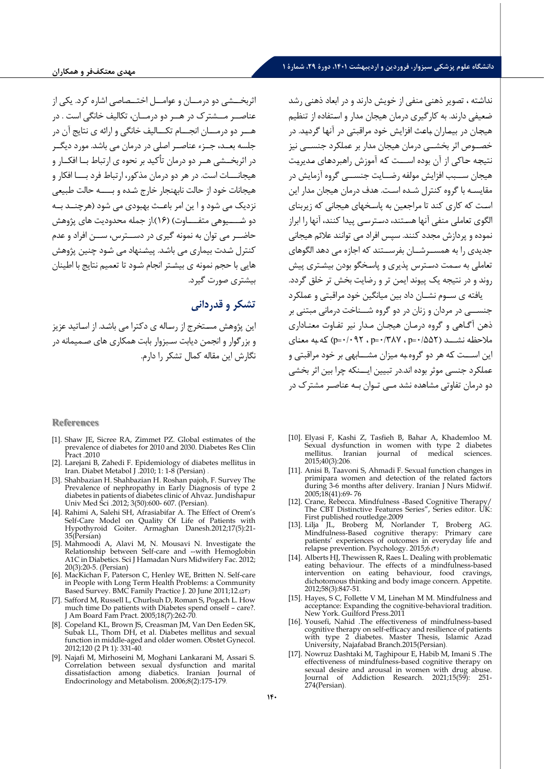اثربخــشی دو درمــان و عوامــل اختــصاصی اشاره کرد. یکی از عناصــر مــشترك در هــر دو درمــان، تکالیف خانگی است . در هـــر دو درمـــان انجـــام تکـــالیف خانگی و ا رائه ي نتایج آن در جلسه بعــد، جــزء عناصــر اصلی در درمان می باشد. مورد دیگــر در اثربخــشی هــر دو درمان تأکید بر نحوه ي ارتباط بــا افکــار و هیجانـــات است. در هر دو درمان مذکور، ارتباط فرد بـــا افکار و هیجانات خود از حالت نابهنجار خارج شـده و بــــه حالت طبیعی نزدیک می شود و ا ین امر باعــث بهبودي می شود (هرچنــد بــه دو شـــــیوهی متفــــاوت) ( 16) .از جمله محدودیت هاي پژوهش حاضــر می توان به نمونه گیري در دســترس، ســن افراد و عدم کنترل شـدت بیماري می باشـد. پیشـنهاد می شـود چنین پژوهش هایی با حجم نمونه ي بیشـتر انجام شـود تا تعمیم نتایج با اطینان بیشتري صورت گیرد .

## **تشکر و قدردانی**

این پژوهش مسـتخرج از رسـاله ي دکترا می باشـد. از اسـاتید عزیز و بزرگوار و انجمن دیابت سـبزوار بابت همکاري هاي صـمیمانه در نگارش این مقاله کمال تشکر را دارم .

#### **References**

- [1]. Shaw JE, Sicree RA, Zimmet PZ. Global estimates of the prevalence of diabetes for 2010 and 2030. Diabetes Res Clin Pract .2010
- [2]. Larejani B, Zahedi F. Epidemiology of diabetes mellitus in Iran. Diabet Metabol J .2010; 1: 1-8 (Persian) .
- [3]. Shahbazian H. Shahbazian H. Roshan pajoh, F. Survey The Prevalence of nephropathy in Early Diagnosis of type 2 diabetes in patients of diabetes clinic of Ahvaz. Jundishapur Univ Med Sci .2012; 3(50):600- 607. (Persian) .
- [4]. Rahimi A, Salehi SH, Afrasiabifar A. The Effect of Orem's Self-Care Model on Quality Of Life of Patients with Hypothyroid Goiter. Armaghan Danesh.2012;17(5):21- 35(Persian)
- [5]. Mahmoodi A, Alavi M, N. Mousavi N. Investigate the Relationship between Self-care and --with Hemoglobin A1C in Diabetics. Sci J Hamadan Nurs Midwifery Fac. 2012; 20(3):20-5. (Persian)
- [6]. MacKichan F, Paterson C, Henley WE, Britten N. Self-care in People with Long Term Health Problems: a Community Based Survey. BMC Family Practice J. 20 June 2011;12.( $\Delta$ ۳)
- [7]. Safford M, Russell L, Churlsuh D, Roman S, Pogach L. How much time Do patients with Diabetes spend onself – care?. J Am Board Fam Pract. 2005;18(7):262-70 .
- [8]. Copeland KL, Brown JS, Creasman JM, Van Den Eeden SK, Subak LL, Thom DH, et al. Diabetes mellitus and sexual function in middle-aged and older women. Obstet Gynecol. 2012;120 (2 Pt 1): 331-40.
- [9]. Najafi M, Mirhoseini M, Moghani Lankarani M, Assari S. Correlation between sexual dysfunction and marital dissatisfaction among diabetics. Iranian Journal of Endocrinology and Metabolism. 2006;8(2):175-179 .

نداشـته ، تصویر ذهنی منفی از خویش دارند و در ابعاد ذهنی رشد ضـعیفی دارند. به کارگیري درمان هیجان مدار و اسـتفاده از تنظیم هیجـان در بیمـاران بـاعـث افزایش خود مراقبتی در آنهـا گردیـد. در خصــوص اثر بخشــی درمان هیجان مدار بر عملکرد جنســی نیز نتیجه حاکی از آن بوده اســت که آموزش راهبردهای مدیریت هیجان ســبب افزایش مولفه رضــایت جنســی گروه آزمایش در مقایسـه با گروه کنترل شـده اسـت. هدف درمان هیجان مدار این اسـت که کاري کند تا مراجعین به پاسـخهاي هیجانی که زیربناي الگوي تعاملی منفی آنها هسـتند، دسـترسـی پیدا کنند، آنها را ابراز نموده و پردازش مجدد کنند. سپس افراد می توانند علائم هیجانی جدیدي را به همســرشــان بفرســتند که اجازه می دهد الگوهاي تعاملی به سـمت دسـترس پذیري و پاسـخگو بودن بیشـتري پیش روند و در نتیجه یک پیوند ایمن تر و رضایت بخش تر خلق گردد. یافته ي ســوم نشــان داد بین میانگین خود مراقبتی و عملکرد

جنســی در مردان و زنان در دو گروه شــناخت درمانی مبتنی بر ذهن آگـاهی و گروه درمـان هیجـان مـدار نیر تفـاوت معنـاداري ملاحظـه نشـــد ( /552 0= p ، /387 0 =p ، /092 0 =p (کـه بـه معنـاي این اســـت کـه هر دو گروه بـه میزان مشـــابهی بر خود مراقبتی و عملکرد جنسی موثر بوده اند.در تبیین ایـــنکه چرا بین اثر بخشی دو درمان تفاوتی مشاهده نشد مـی تـوان بـه عناصـر مشترك در

- [10]. Elyasi F, Kashi Z, Tasfieh B, Bahar A, Khademloo M. Sexual dysfunction in women with type 2 diabetes Iranian journal of medical sciences. 2015;40(3):206 .
- [11]. Anisi B, Taavoni S, Ahmadi F. Sexual function changes in primipara women and detection of the related factors during 3-6 months after delivery. Iranian J Nurs Midwif. 2005;18(41):69- 76
- [12]. Crane, Rebecca. Mindfulness -Based Cognitive Therapy/ The CBT Distinctive Features Series", Series editor. UK: First published routledge.2009
- [13]. Lilja JL, Broberg M, Norlander T, Broberg AG. Mindfulness-Based cognitive therapy: Primary care patients' experiences of outcomes in everyday life and relapse prevention. Psychology. 2015;6.(4)
- [14]. Alberts HJ, Thewissen R, Raes L. Dealing with problematic eating behaviour. The effects of a mindfulness-based intervention on eating behaviour, food cravings, dichotomous thinking and body image concern. Appetite. 2012;58(3):847-51 .
- [15]. Hayes, S C, Follette V M, Linehan M M. Mindfulness and acceptance: Expanding the cognitive-behavioral tradition. New York. Guilford Press.2011
- [16]. Yousefi, Nahid .The effectiveness of mindfulness-based cognitive therapy on self-efficacy and resilience of patients with type 2 diabetes. Master Thesis, Islamic Azad University, Najafabad Branch.2015(Persian) .
- [17]. Nowruz Dashtaki M, Taghipour E, Habib M, Imani S .The effectiveness of mindfulness-based cognitive therapy on sexual desire and arousal in women with drug abuse. Journal of Addiction Research. 2021;15(59): 251- 274(Persian).